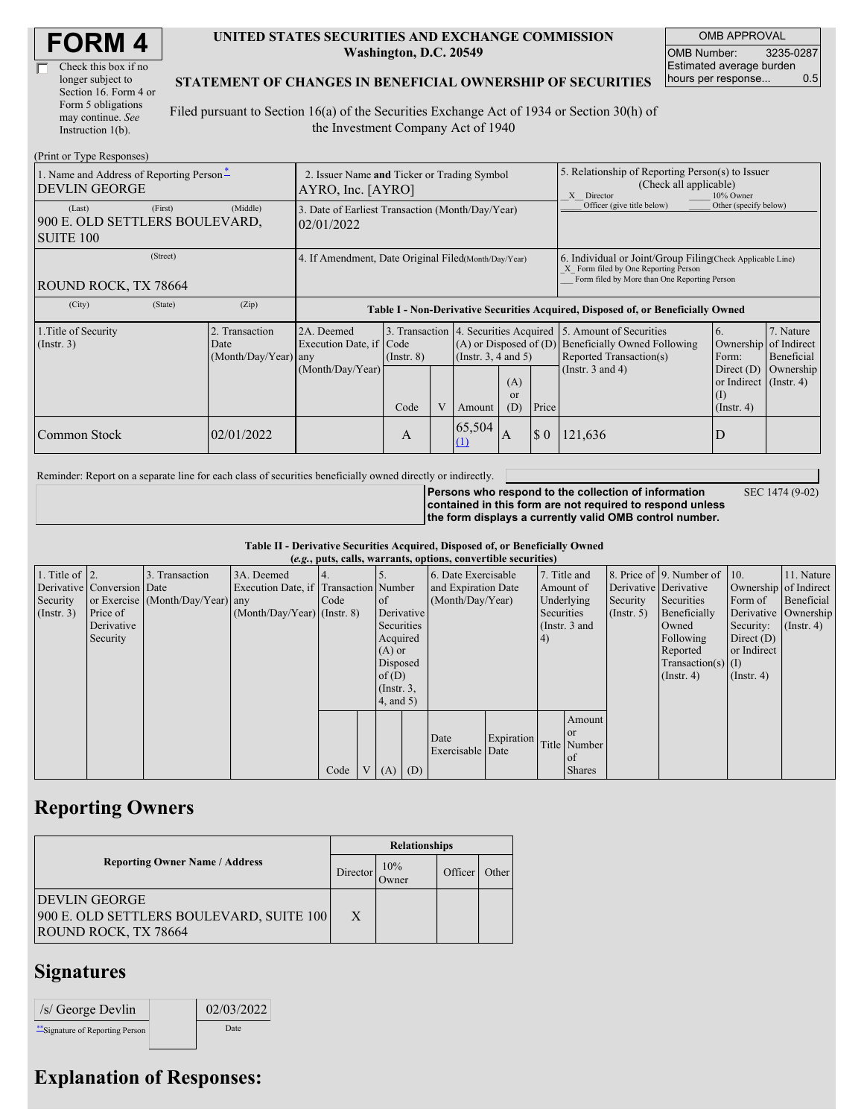| <b>FORM4</b> |
|--------------|
|--------------|

| Check this box if no  |
|-----------------------|
| longer subject to     |
| Section 16. Form 4 or |
| Form 5 obligations    |
| may continue. See     |
| Instruction $1(b)$ .  |

#### **UNITED STATES SECURITIES AND EXCHANGE COMMISSION Washington, D.C. 20549**

OMB APPROVAL OMB Number: 3235-0287 Estimated average burden hours per response... 0.5

#### **STATEMENT OF CHANGES IN BENEFICIAL OWNERSHIP OF SECURITIES**

Filed pursuant to Section 16(a) of the Securities Exchange Act of 1934 or Section 30(h) of the Investment Company Act of 1940

| (Print or Type Responses)                                                                       |                                                                       |                                                                                  |                         |   |               |                                                                                                                                                    |                                                                                                       |                                                                                                             |                                                                                                                                 |                                      |
|-------------------------------------------------------------------------------------------------|-----------------------------------------------------------------------|----------------------------------------------------------------------------------|-------------------------|---|---------------|----------------------------------------------------------------------------------------------------------------------------------------------------|-------------------------------------------------------------------------------------------------------|-------------------------------------------------------------------------------------------------------------|---------------------------------------------------------------------------------------------------------------------------------|--------------------------------------|
| 1. Name and Address of Reporting Person-<br><b>DEVLIN GEORGE</b>                                | 2. Issuer Name and Ticker or Trading Symbol<br>$AYRO$ , Inc. $[AYRO]$ |                                                                                  |                         |   |               |                                                                                                                                                    | 5. Relationship of Reporting Person(s) to Issuer<br>(Check all applicable)<br>X Director<br>10% Owner |                                                                                                             |                                                                                                                                 |                                      |
| (First)<br>(Last)<br>900 E. OLD SETTLERS BOULEVARD,<br><b>SUITE 100</b>                         | (Middle)                                                              | 3. Date of Earliest Transaction (Month/Day/Year)<br>02/01/2022                   |                         |   |               |                                                                                                                                                    |                                                                                                       | Officer (give title below)                                                                                  | Other (specify below)                                                                                                           |                                      |
| (Street)<br>4. If Amendment, Date Original Filed(Month/Day/Year)<br><b>ROUND ROCK, TX 78664</b> |                                                                       |                                                                                  |                         |   |               | 6. Individual or Joint/Group Filing(Check Applicable Line)<br>X Form filed by One Reporting Person<br>Form filed by More than One Reporting Person |                                                                                                       |                                                                                                             |                                                                                                                                 |                                      |
| (City)<br>(State)                                                                               | (Zip)                                                                 | Table I - Non-Derivative Securities Acquired, Disposed of, or Beneficially Owned |                         |   |               |                                                                                                                                                    |                                                                                                       |                                                                                                             |                                                                                                                                 |                                      |
| 1. Title of Security<br>$($ Instr. 3 $)$                                                        | 2. Transaction<br>Date<br>(Month/Day/Year) any                        | 2A. Deemed<br>Execution Date, if Code<br>(Month/Day/Year)                        | $($ Instr. $8)$<br>Code | V | Amount        | 3. Transaction 4. Securities Acquired<br>$(A)$ or Disposed of $(D)$<br>(Insert. 3, 4 and 5)<br>(A)<br><sub>or</sub><br>(D)<br>Price                |                                                                                                       | 5. Amount of Securities<br>Beneficially Owned Following<br>Reported Transaction(s)<br>(Instr. $3$ and $4$ ) | <sup>6.</sup><br>Ownership of Indirect<br>Form:<br>Direct $(D)$<br>or Indirect (Instr. 4)<br>$(\mathrm{I})$<br>$($ Instr. 4 $)$ | 7. Nature<br>Beneficial<br>Ownership |
| Common Stock                                                                                    | 02/01/2022                                                            |                                                                                  | A                       |   | 65,504<br>(1) | $\overline{A}$                                                                                                                                     | $\sqrt{5}0$                                                                                           | 121,636                                                                                                     | D                                                                                                                               |                                      |

Reminder: Report on a separate line for each class of securities beneficially owned directly or indirectly.

**Persons who respond to the collection of information contained in this form are not required to respond unless the form displays a currently valid OMB control number.**

SEC 1474 (9-02)

**Table II - Derivative Securities Acquired, Disposed of, or Beneficially Owned**

| (e.g., puts, calls, warrants, options, convertible securities) |                            |                                  |                                       |      |  |                 |                     |                     |                   |               |               |                       |                              |                      |               |
|----------------------------------------------------------------|----------------------------|----------------------------------|---------------------------------------|------|--|-----------------|---------------------|---------------------|-------------------|---------------|---------------|-----------------------|------------------------------|----------------------|---------------|
| 1. Title of $\vert$ 2.                                         |                            | 3. Transaction                   | 3A. Deemed                            |      |  |                 |                     | 6. Date Exercisable |                   | 7. Title and  |               |                       | 8. Price of 9. Number of 10. |                      | 11. Nature    |
|                                                                | Derivative Conversion Date |                                  | Execution Date, if Transaction Number |      |  |                 | and Expiration Date |                     | Amount of         |               |               | Derivative Derivative | Ownership of Indirect        |                      |               |
| Security                                                       |                            | or Exercise (Month/Day/Year) any |                                       | Code |  | <sub>of</sub>   |                     | (Month/Day/Year)    |                   | Underlying    |               | Security              | Securities                   | Form of              | Beneficial    |
| (Insert. 3)                                                    | Price of                   |                                  | $(Month/Day/Year)$ (Instr. 8)         |      |  | Derivative      |                     |                     |                   | Securities    |               | (Insert, 5)           | Beneficially                 | Derivative Ownership |               |
|                                                                | Derivative                 |                                  |                                       |      |  | Securities      |                     |                     |                   | (Instr. 3 and |               |                       | Owned                        | Security:            | $($ Instr. 4) |
|                                                                | Security                   |                                  |                                       |      |  | Acquired        |                     |                     |                   | (4)           |               |                       | Following                    | Direct $(D)$         |               |
|                                                                |                            |                                  |                                       |      |  | $(A)$ or        |                     |                     |                   |               |               |                       | Reported                     | or Indirect          |               |
|                                                                |                            |                                  |                                       |      |  |                 | Disposed            |                     |                   |               |               | $Transaction(s)$ (I)  |                              |                      |               |
|                                                                |                            |                                  |                                       |      |  | of $(D)$        |                     |                     |                   |               |               | $($ Instr. 4 $)$      | $($ Instr. 4 $)$             |                      |               |
|                                                                |                            |                                  |                                       |      |  | $($ Instr. $3,$ |                     |                     |                   |               |               |                       |                              |                      |               |
|                                                                |                            |                                  |                                       |      |  | 4, and 5)       |                     |                     |                   |               |               |                       |                              |                      |               |
|                                                                |                            |                                  |                                       |      |  |                 |                     |                     |                   |               | Amount        |                       |                              |                      |               |
|                                                                |                            |                                  |                                       |      |  |                 |                     | Date                | <b>Expiration</b> |               | <b>or</b>     |                       |                              |                      |               |
|                                                                |                            |                                  |                                       |      |  |                 |                     | Exercisable Date    |                   |               | Title Number  |                       |                              |                      |               |
|                                                                |                            |                                  |                                       |      |  |                 |                     |                     |                   |               | of            |                       |                              |                      |               |
|                                                                |                            |                                  |                                       | Code |  | (A)             | (D)                 |                     |                   |               | <b>Shares</b> |                       |                              |                      |               |

## **Reporting Owners**

|                                                                                                 | <b>Relationships</b> |              |         |       |  |  |  |
|-------------------------------------------------------------------------------------------------|----------------------|--------------|---------|-------|--|--|--|
| <b>Reporting Owner Name / Address</b>                                                           | Director             | 10%<br>Owner | Officer | Other |  |  |  |
| <b>DEVLIN GEORGE</b><br>900 E. OLD SETTLERS BOULEVARD, SUITE 100<br><b>ROUND ROCK, TX 78664</b> | X                    |              |         |       |  |  |  |

### **Signatures**

| /s/ George Devlin                | 02/03/2022 |
|----------------------------------|------------|
| ** Signature of Reporting Person | Date       |

# **Explanation of Responses:**